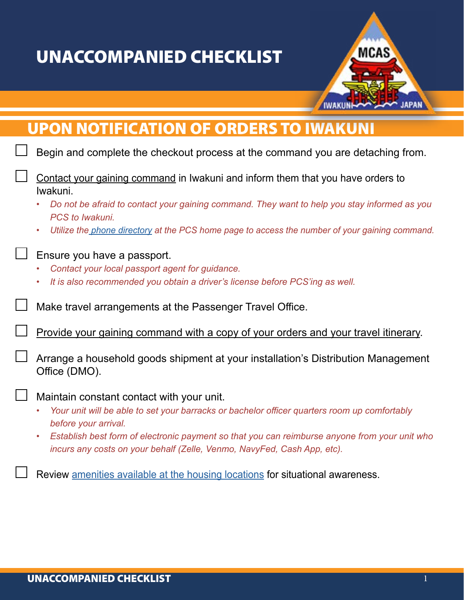## UNACCOMPANIED CHECKLIST



## UPON NOTIFICATION OF ORDERS TO IWAKUNI

|                             | Begin and complete the checkout process at the command you are detaching from.                                                                                                        |
|-----------------------------|---------------------------------------------------------------------------------------------------------------------------------------------------------------------------------------|
| $\mathcal{L}_{\mathcal{A}}$ | Contact your gaining command in Iwakuni and inform them that you have orders to<br>Iwakuni.                                                                                           |
|                             | Do not be afraid to contact your gaining command. They want to help you stay informed as you<br>PCS to Iwakuni.                                                                       |
|                             | Utilize the phone directory at the PCS home page to access the number of your gaining command.<br>٠                                                                                   |
| $\overline{\phantom{a}}$    | Ensure you have a passport.<br>Contact your local passport agent for guidance.<br>It is also recommended you obtain a driver's license before PCS'ing as well.                        |
|                             | Make travel arrangements at the Passenger Travel Office.                                                                                                                              |
|                             | Provide your gaining command with a copy of your orders and your travel itinerary.                                                                                                    |
| $\mathbb{R}^n$              | Arrange a household goods shipment at your installation's Distribution Management<br>Office (DMO).                                                                                    |
|                             | Maintain constant contact with your unit.                                                                                                                                             |
|                             | Your unit will be able to set your barracks or bachelor officer quarters room up comfortably<br>before your arrival.                                                                  |
|                             | Establish best form of electronic payment so that you can reimburse anyone from your unit who<br>$\bullet$<br>incurs any costs on your behalf (Zelle, Venmo, NavyFed, Cash App, etc). |
|                             | Review amenities available at the housing locations for situational awareness.                                                                                                        |